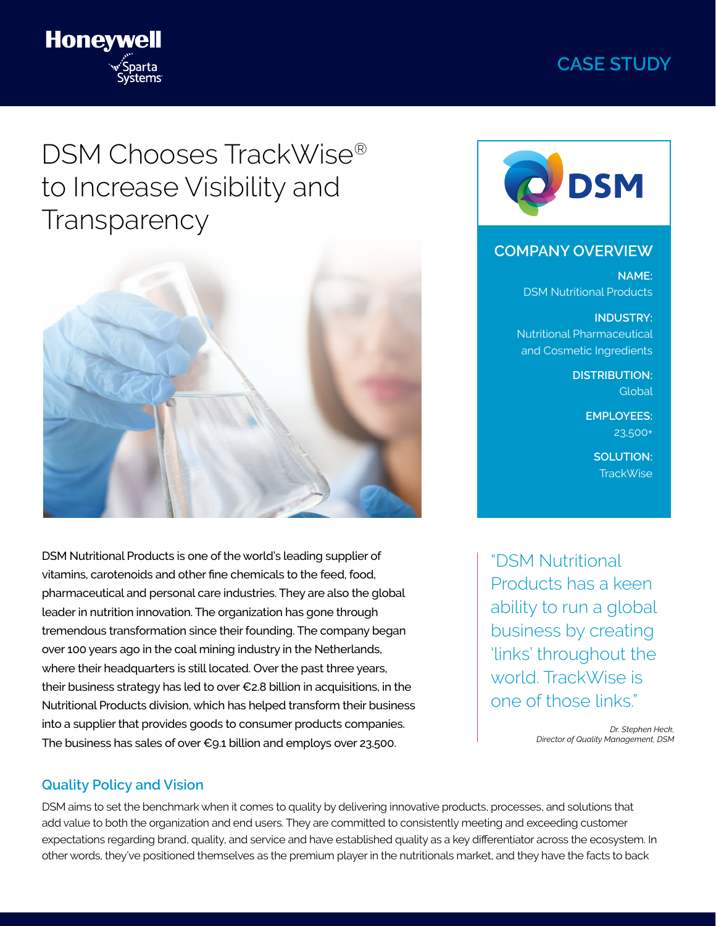# **CASE STUDY**



# DSM Chooses TrackWise® to Increase Visibility and **Transparency**



DSM Nutritional Products is one of the world's leading supplier of vitamins, carotenoids and other fine chemicals to the feed, food, pharmaceutical and personal care industries. They are also the global leader in nutrition innovation. The organization has gone through tremendous transformation since their founding. The company began over 100 years ago in the coal mining industry in the Netherlands, where their headquarters is still located. Over the past three years, their business strategy has led to over €2.8 billion in acquisitions, in the Nutritional Products division, which has helped transform their business into a supplier that provides goods to consumer products companies. The business has sales of over  $\epsilon_{9.1}$  billion and employs over 23,500.

#### **Quality Policy and Vision**

DSM aims to set the benchmark when it comes to quality by delivering innovative products, processes, and solutions that add value to both the organization and end users. They are committed to consistently meeting and exceeding customer expectations regarding brand, quality, and service and have established quality as a key differentiator across the ecosystem. In other words, they've positioned themselves as the premium player in the nutritionals market, and they have the facts to back



### **COMPANY OVERVIEW**

**NAME:**  DSM Nutritional Products

**INDUSTRY:** Nutritional Pharmaceutical and Cosmetic Ingredients

> **DISTRIBUTION:**  Global

> > **EMPLOYEES:** 23,500+

> > > **SOLUTION:**  TrackWise

"DSM Nutritional Products has a keen ability to run a global business by creating 'links' throughout the world. TrackWise is one of those links."

> *Dr. Stephen Heck, Director of Quality Management, DSM*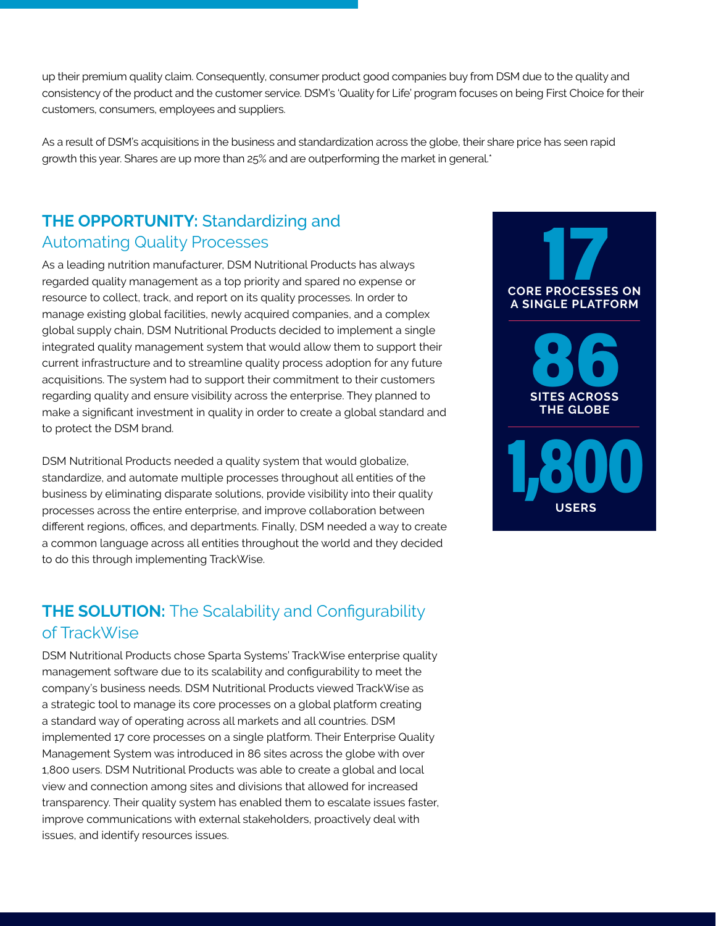up their premium quality claim. Consequently, consumer product good companies buy from DSM due to the quality and consistency of the product and the customer service. DSM's 'Quality for Life' program focuses on being First Choice for their customers, consumers, employees and suppliers.

As a result of DSM's acquisitions in the business and standardization across the globe, their share price has seen rapid growth this year. Shares are up more than 25% and are outperforming the market in general.\*

### **THE OPPORTUNITY:** Standardizing and Automating Quality Processes

As a leading nutrition manufacturer, DSM Nutritional Products has always regarded quality management as a top priority and spared no expense or resource to collect, track, and report on its quality processes. In order to manage existing global facilities, newly acquired companies, and a complex global supply chain, DSM Nutritional Products decided to implement a single integrated quality management system that would allow them to support their current infrastructure and to streamline quality process adoption for any future acquisitions. The system had to support their commitment to their customers regarding quality and ensure visibility across the enterprise. They planned to make a significant investment in quality in order to create a global standard and to protect the DSM brand.

DSM Nutritional Products needed a quality system that would globalize, standardize, and automate multiple processes throughout all entities of the business by eliminating disparate solutions, provide visibility into their quality processes across the entire enterprise, and improve collaboration between different regions, offices, and departments. Finally, DSM needed a way to create a common language across all entities throughout the world and they decided to do this through implementing TrackWise.

## **THE SOLUTION:** The Scalability and Configurability of TrackWise

DSM Nutritional Products chose Sparta Systems' TrackWise enterprise quality management software due to its scalability and configurability to meet the company's business needs. DSM Nutritional Products viewed TrackWise as a strategic tool to manage its core processes on a global platform creating a standard way of operating across all markets and all countries. DSM implemented 17 core processes on a single platform. Their Enterprise Quality Management System was introduced in 86 sites across the globe with over 1,800 users. DSM Nutritional Products was able to create a global and local view and connection among sites and divisions that allowed for increased transparency. Their quality system has enabled them to escalate issues faster, improve communications with external stakeholders, proactively deal with issues, and identify resources issues.